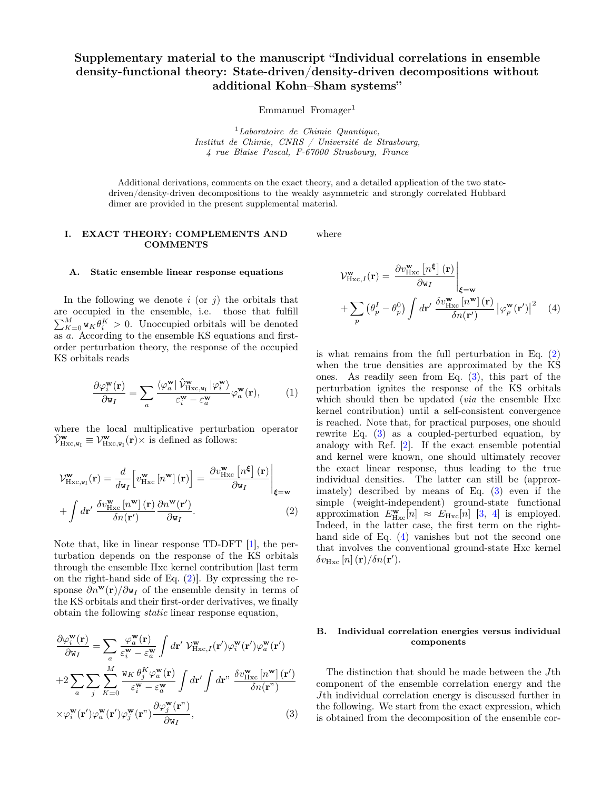# Supplementary material to the manuscript "Individual correlations in ensemble density-functional theory: State-driven/density-driven decompositions without additional Kohn–Sham systems"

Emmanuel Fromager<sup>1</sup>

 ${}^{1}$ Laboratoire de Chimie Quantique, Institut de Chimie, CNRS / Université de Strasbourg, 4 rue Blaise Pascal, F-67000 Strasbourg, France

Additional derivations, comments on the exact theory, and a detailed application of the two statedriven/density-driven decompositions to the weakly asymmetric and strongly correlated Hubbard dimer are provided in the present supplemental material.

### I. EXACT THEORY: COMPLEMENTS AND **COMMENTS**

where

#### A. Static ensemble linear response equations

In the following we denote  $i$  (or  $j$ ) the orbitals that are occupied in the ensemble, i.e. those that fulfill  $\sum_{K=0}^{M} \mathbf{w}_{K} \theta_{i}^{K} > 0$ . Unoccupied orbitals will be denoted as a. According to the ensemble KS equations and firstorder perturbation theory, the response of the occupied KS orbitals reads

$$
\frac{\partial \varphi_i^{\mathbf{w}}(\mathbf{r})}{\partial \mathbf{w}_I} = \sum_a \frac{\langle \varphi_a^{\mathbf{w}} | \hat{\mathcal{V}}_{\text{Hxc}, \mathbf{w}_I}^{\mathbf{w}} | \varphi_i^{\mathbf{w}} \rangle}{\varepsilon_i^{\mathbf{w}} - \varepsilon_a^{\mathbf{w}}} \varphi_a^{\mathbf{w}}(\mathbf{r}), \tag{1}
$$

where the local multiplicative perturbation operator  $\hat{\mathcal{V}}_{\text{Hxc},w_1}^{\mathbf{w}} \equiv \mathcal{V}_{\text{Hxc},w_1}^{\mathbf{w}}(\mathbf{r}) \times \text{ is defined as follows:}$ 

<span id="page-0-0"></span>
$$
\mathcal{V}_{\text{Hxc}, \mathbf{w}_{\text{I}}}^{\mathbf{w}}(\mathbf{r}) = \frac{d}{d\mathbf{w}_{I}} \left[ v_{\text{Hxc}}^{\mathbf{w}} \left[ n^{\mathbf{w}} \right] (\mathbf{r}) \right] = \left. \frac{\partial v_{\text{Hxc}}^{\mathbf{w}} \left[ n^{\xi} \right] (\mathbf{r})}{\partial \mathbf{w}_{I}} \right|_{\xi = \mathbf{w}} + \int d\mathbf{r}' \left. \frac{\delta v_{\text{Hxc}}^{\mathbf{w}} \left[ n^{\mathbf{w}} \right] (\mathbf{r})}{\delta n(\mathbf{r}')} \frac{\partial n^{\mathbf{w}} (\mathbf{r}')}{\partial \mathbf{w}_{I}}.
$$
\n(2)

Note that, like in linear response TD-DFT [\[1\]](#page-5-0), the perturbation depends on the response of the KS orbitals through the ensemble Hxc kernel contribution [last term on the right-hand side of Eq. [\(2\)](#page-0-0)]. By expressing the response  $\partial n^{\mathbf{w}}(\mathbf{r})/\partial \mathbf{w}_I$  of the ensemble density in terms of the KS orbitals and their first-order derivatives, we finally obtain the following static linear response equation,

<span id="page-0-1"></span>
$$
\frac{\partial \varphi_i^{\mathbf{w}}(\mathbf{r})}{\partial \mathbf{w}_I} = \sum_a \frac{\varphi_a^{\mathbf{w}}(\mathbf{r})}{\varepsilon_i^{\mathbf{w}} - \varepsilon_a^{\mathbf{w}}} \int d\mathbf{r}' \, \mathcal{V}_{\text{Hxc},I}^{\mathbf{w}}(\mathbf{r}') \varphi_i^{\mathbf{w}}(\mathbf{r}') \varphi_a^{\mathbf{w}}(\mathbf{r}')
$$
  
+2
$$
\sum_a \sum_j \sum_{K=0}^M \frac{\mathbf{w}_K \, \theta_j^K \varphi_a^{\mathbf{w}}(\mathbf{r})}{\varepsilon_i^{\mathbf{w}} - \varepsilon_a^{\mathbf{w}}} \int d\mathbf{r}' \int d\mathbf{r}'' \, \frac{\delta v_{\text{Hxc}}^{\mathbf{w}}[n^{\mathbf{w}}](\mathbf{r}')}{\delta n(\mathbf{r}'')}
$$

$$
\times \varphi_i^{\mathbf{w}}(\mathbf{r}') \varphi_a^{\mathbf{w}}(\mathbf{r}') \varphi_j^{\mathbf{w}}(\mathbf{r}''') \frac{\partial \varphi_j^{\mathbf{w}}(\mathbf{r}'')}{\partial \mathbf{w}_I}, \tag{3}
$$

<span id="page-0-2"></span>
$$
\mathcal{V}_{\text{Hxc},I}^{\mathbf{w}}(\mathbf{r}) = \frac{\partial v_{\text{Hxc}}^{\mathbf{w}} \left[ n^{\xi} \right] (\mathbf{r})}{\partial \mathbf{w}_I} \Big|_{\xi = \mathbf{w}} + \sum_{p} \left( \theta_p^I - \theta_p^0 \right) \int d\mathbf{r}' \frac{\delta v_{\text{Hxc}}^{\mathbf{w}} \left[ n^{\mathbf{w}} \right] (\mathbf{r})}{\delta n(\mathbf{r}')} \left| \varphi_p^{\mathbf{w}}(\mathbf{r}') \right|^2 \quad (4)
$$

is what remains from the full perturbation in Eq. [\(2\)](#page-0-0) when the true densities are approximated by the KS ones. As readily seen from Eq. [\(3\)](#page-0-1), this part of the perturbation ignites the response of the KS orbitals which should then be updated (via the ensemble Hxc kernel contribution) until a self-consistent convergence is reached. Note that, for practical purposes, one should rewrite Eq. [\(3\)](#page-0-1) as a coupled-perturbed equation, by analogy with Ref. [\[2\]](#page-5-1). If the exact ensemble potential and kernel were known, one should ultimately recover the exact linear response, thus leading to the true individual densities. The latter can still be (approximately) described by means of Eq. [\(3\)](#page-0-1) even if the simple (weight-independent) ground-state functional approximation  $E_{\text{Hxc}}^{\mathbf{w}}[n] \approx E_{\text{Hxc}}[n]$  [\[3,](#page-5-2) [4\]](#page-5-3) is employed. Indeed, in the latter case, the first term on the righthand side of Eq. [\(4\)](#page-0-2) vanishes but not the second one that involves the conventional ground-state Hxc kernel  $\delta v_{\rm Hxc}\left[n\right] (\mathbf{r})/\delta n(\mathbf{r}^{\prime}).$ 

# B. Individual correlation energies versus individual components

The distinction that should be made between the Jth component of the ensemble correlation energy and the Jth individual correlation energy is discussed further in the following. We start from the exact expression, which is obtained from the decomposition of the ensemble cor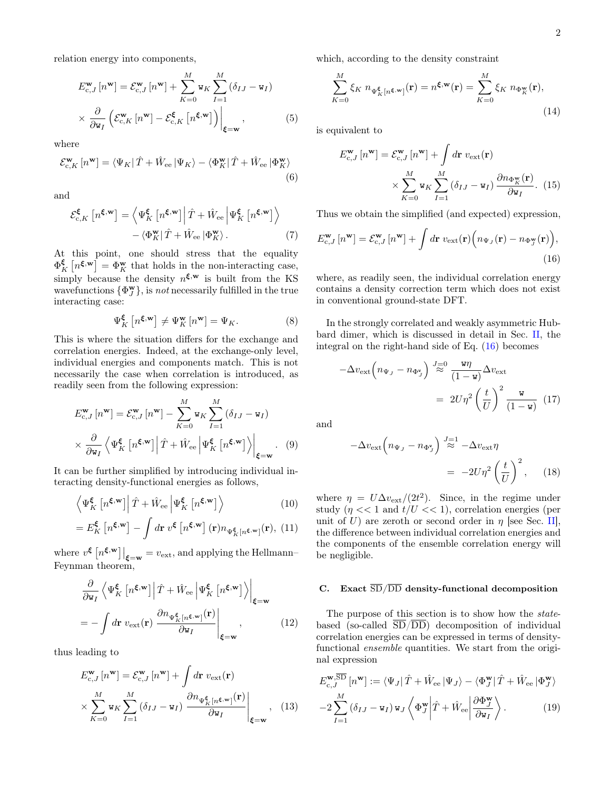relation energy into components,

$$
E_{c,J}^{\mathbf{w}}[n^{\mathbf{w}}] = \mathcal{E}_{c,J}^{\mathbf{w}}[n^{\mathbf{w}}] + \sum_{K=0}^{M} \mathbf{w}_K \sum_{I=1}^{M} (\delta_{IJ} - \mathbf{w}_I)
$$
  
 
$$
\times \frac{\partial}{\partial \mathbf{w}_I} \left( \mathcal{E}_{c,K}^{\mathbf{w}}[n^{\mathbf{w}}] - \mathcal{E}_{c,K}^{\xi}[n^{\xi,\mathbf{w}}] \right) \Big|_{\xi=\mathbf{w}}, \qquad (5)
$$

where

$$
\mathcal{E}_{\text{c},K}^{\mathbf{w}}\left[n^{\mathbf{w}}\right] = \left\langle \Psi_K\right| \hat{T} + \hat{W}_{\text{ee}} \left|\Psi_K\right\rangle - \left\langle \Phi_K^{\mathbf{w}}\right| \hat{T} + \hat{W}_{\text{ee}} \left|\Phi_K^{\mathbf{w}}\right\rangle \tag{6}
$$

and

$$
\mathcal{E}_{c,K}^{\xi} \left[ n^{\xi, \mathbf{w}} \right] = \left\langle \Psi_K^{\xi} \left[ n^{\xi, \mathbf{w}} \right] \middle| \hat{T} + \hat{W}_{ee} \middle| \Psi_K^{\xi} \left[ n^{\xi, \mathbf{w}} \right] \right\rangle - \left\langle \Phi_K^{\mathbf{w}} \middle| \hat{T} + \hat{W}_{ee} \middle| \Phi_K^{\mathbf{w}} \right\rangle. \tag{7}
$$

At this point, one should stress that the equality  $\Phi_K^{\boldsymbol{\xi}}\left[n^{\boldsymbol{\xi},\mathbf{w}}\right] = \Phi_K^{\mathbf{w}}$  that holds in the non-interacting case, simply because the density  $n^{\xi,w}$  is built from the KS wavefunctions  $\{\Phi_{J}^{\mathbf{w}}\}$ , is *not* necessarily fulfilled in the true interacting case:

$$
\Psi_K^{\xi} \left[ n^{\xi, \mathbf{w}} \right] \neq \Psi_K^{\mathbf{w}} \left[ n^{\mathbf{w}} \right] = \Psi_K. \tag{8}
$$

This is where the situation differs for the exchange and correlation energies. Indeed, at the exchange-only level, individual energies and components match. This is not necessarily the case when correlation is introduced, as readily seen from the following expression:

$$
E_{c,J}^{\mathbf{w}}[n^{\mathbf{w}}] = \mathcal{E}_{c,J}^{\mathbf{w}}[n^{\mathbf{w}}] - \sum_{K=0}^{M} \mathbf{w}_K \sum_{I=1}^{M} (\delta_{IJ} - \mathbf{w}_I)
$$
  
 
$$
\times \frac{\partial}{\partial \mathbf{w}_I} \left\langle \Psi_K^{\xi}[n^{\xi,\mathbf{w}}] \middle| \hat{T} + \hat{W}_{\text{ee}} \middle| \Psi_K^{\xi}[n^{\xi,\mathbf{w}}] \right\rangle \Big|_{\xi=\mathbf{w}}.
$$
 (9)

It can be further simplified by introducing individual interacting density-functional energies as follows,

$$
\left\langle \Psi_{K}^{\xi} \left[ n^{\xi, \mathbf{w}} \right] \right| \hat{T} + \hat{W}_{ee} \left| \Psi_{K}^{\xi} \left[ n^{\xi, \mathbf{w}} \right] \right\rangle \tag{10}
$$

$$
= E_K^{\xi} \left[ n^{\xi, \mathbf{w}} \right] - \int d\mathbf{r} \; v^{\xi} \left[ n^{\xi, \mathbf{w}} \right] (\mathbf{r}) n_{\Psi_K^{\xi}[n^{\xi, \mathbf{w}}]} (\mathbf{r}), \tag{11}
$$

where  $v^{\xi} \left[ n^{\xi, w} \right] \big|_{\xi=w} = v_{\text{ext}}$ , and applying the Hellmann-Feynman theorem,

$$
\frac{\partial}{\partial \mathbf{w}_I} \left\langle \Psi_K^{\xi} \left[ n^{\xi, \mathbf{w}} \right] \middle| \hat{T} + \hat{W}_{ee} \left| \Psi_K^{\xi} \left[ n^{\xi, \mathbf{w}} \right] \right\rangle \right|_{\xi = \mathbf{w}}
$$
\n
$$
= - \int d\mathbf{r} \, v_{\text{ext}}(\mathbf{r}) \left. \frac{\partial n_{\Psi_K^{\xi}[n^{\xi, \mathbf{w}}]}(\mathbf{r})}{\partial \mathbf{w}_I} \right|_{\xi = \mathbf{w}}, \tag{12}
$$

thus leading to

$$
E_{\text{c},J}^{\text{w}}\left[n^{\text{w}}\right] = \mathcal{E}_{\text{c},J}^{\text{w}}\left[n^{\text{w}}\right] + \int d\mathbf{r} \, v_{\text{ext}}(\mathbf{r})
$$

$$
\times \sum_{K=0}^{M} \mathbf{w}_{K} \sum_{I=1}^{M} \left(\delta_{IJ} - \mathbf{w}_{I}\right) \frac{\partial n_{\Psi_{K}^{\xi}\left[n^{\xi,\text{w}}\right]}(\mathbf{r})}{\partial \mathbf{w}_{I}}\Big|_{\xi=\text{w}}, \quad (13)
$$

which, according to the density constraint

$$
\sum_{K=0}^{M} \xi_K \ n_{\Psi_K^{\xi}[n^{\xi,w}]}(\mathbf{r}) = n^{\xi,w}(\mathbf{r}) = \sum_{K=0}^{M} \xi_K \ n_{\Phi_K^w}(\mathbf{r}),
$$
\n(14)

is equivalent to

$$
E_{c,J}^{\mathbf{w}}\left[n^{\mathbf{w}}\right] = \mathcal{E}_{c,J}^{\mathbf{w}}\left[n^{\mathbf{w}}\right] + \int d\mathbf{r} \, v_{\text{ext}}(\mathbf{r})
$$

$$
\times \sum_{K=0}^{M} \mathbf{w}_K \sum_{I=1}^{M} \left(\delta_{IJ} - \mathbf{w}_I\right) \frac{\partial n_{\Phi_K}(\mathbf{r})}{\partial \mathbf{w}_I} . \tag{15}
$$

Thus we obtain the simplified (and expected) expression,

<span id="page-1-0"></span>
$$
E_{c,J}^{\mathbf{w}}\left[n^{\mathbf{w}}\right] = \mathcal{E}_{c,J}^{\mathbf{w}}\left[n^{\mathbf{w}}\right] + \int d\mathbf{r} \ v_{\text{ext}}(\mathbf{r}) \Big(n_{\Psi_J}(\mathbf{r}) - n_{\Phi_J^{\mathbf{w}}}(\mathbf{r})\Big),\tag{16}
$$

where, as readily seen, the individual correlation energy contains a density correction term which does not exist in conventional ground-state DFT.

In the strongly correlated and weakly asymmetric Hubbard dimer, which is discussed in detail in Sec. [II,](#page-2-0) the integral on the right-hand side of Eq.  $(16)$  becomes

$$
-\Delta v_{\text{ext}} \left( n_{\Psi_J} - n_{\Phi_J^{\text{w}}} \right) \stackrel{J=0}{\approx} \frac{\text{w}\eta}{(1-\text{w})} \Delta v_{\text{ext}}
$$

$$
= 2U\eta^2 \left( \frac{t}{U} \right)^2 \frac{\text{w}}{(1-\text{w})} \tag{17}
$$

and

$$
-\Delta v_{\text{ext}} \left( n_{\Psi_J} - n_{\Phi_J^*} \right) \stackrel{J=1}{\approx} -\Delta v_{\text{ext}} \eta
$$

$$
= -2U \eta^2 \left( \frac{t}{U} \right)^2, \qquad (18)
$$

where  $\eta = U \Delta v_{\text{ext}} / (2t^2)$ . Since, in the regime under study  $(\eta \ll 1$  and  $t/U \ll 1)$ , correlation energies (per unit of U) are zeroth or second order in  $\eta$  [see Sec. [II\]](#page-2-0), the difference between individual correlation energies and the components of the ensemble correlation energy will be negligible.

# C. Exact  $\overline{SD}/\overline{DD}$  density-functional decomposition

The purpose of this section is to show how the statebased (so-called  $\overline{SD}/\overline{DD}$ ) decomposition of individual correlation energies can be expressed in terms of densityfunctional ensemble quantities. We start from the original expression

<span id="page-1-1"></span>
$$
E_{\text{c},J}^{\text{w},\overline{\text{SD}}}\left[n^{\text{w}}\right] := \langle \Psi_J | \hat{T} + \hat{W}_{\text{ee}} \left| \Psi_J \right\rangle - \langle \Phi_J^{\text{w}} | \hat{T} + \hat{W}_{\text{ee}} \left| \Phi_J^{\text{w}} \right\rangle - 2 \sum_{I=1}^{M} \left( \delta_{IJ} - \Psi_I \right) \Psi_J \left\langle \Phi_J^{\text{w}} \left| \hat{T} + \hat{W}_{\text{ee}} \right| \frac{\partial \Phi_J^{\text{w}}}{\partial \Psi_I} \right\rangle.
$$
 (19)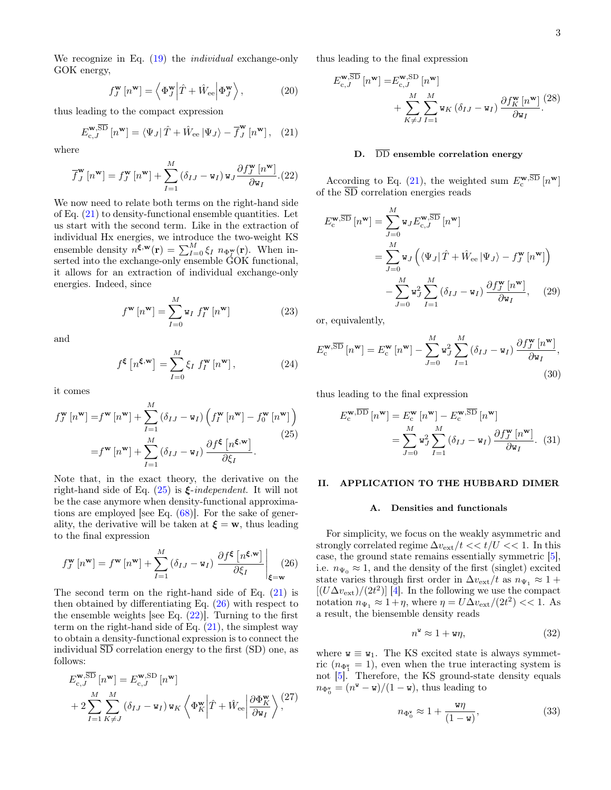We recognize in Eq.  $(19)$  the *individual* exchange-only GOK energy,

$$
f_J^{\mathbf{w}}[n^{\mathbf{w}}] = \left\langle \Phi_J^{\mathbf{w}} \middle| \hat{T} + \hat{W}_{\text{ee}} \middle| \Phi_J^{\mathbf{w}} \right\rangle, \tag{20}
$$

thus leading to the compact expression

<span id="page-2-1"></span>
$$
E_{\rm c,J}^{\mathbf{w},\overline{\rm SD}}\left[n^{\mathbf{w}}\right] = \langle \Psi_J | \hat{T} + \hat{W}_{\rm ee} | \Psi_J \rangle - \overline{f}_J^{\mathbf{w}}\left[n^{\mathbf{w}}\right], \quad (21)
$$

where

<span id="page-2-4"></span>
$$
\overline{f}_{J}^{\mathbf{w}}\left[n^{\mathbf{w}}\right] = f_{J}^{\mathbf{w}}\left[n^{\mathbf{w}}\right] + \sum_{I=1}^{M} \left(\delta_{IJ} - \mathbf{w}_{I}\right) \mathbf{w}_{J} \frac{\partial f_{J}^{\mathbf{w}}\left[n^{\mathbf{w}}\right]}{\partial \mathbf{w}_{I}}.\tag{22}
$$

We now need to relate both terms on the right-hand side of Eq. [\(21\)](#page-2-1) to density-functional ensemble quantities. Let us start with the second term. Like in the extraction of individual Hx energies, we introduce the two-weight KS ensemble density  $n^{\xi, w}(\mathbf{r}) = \sum_{I=0}^{M} \xi_I n_{\Phi_I^w}(\mathbf{r})$ . When inserted into the exchange-only ensemble GOK functional, it allows for an extraction of individual exchange-only energies. Indeed, since

$$
f^{\mathbf{w}}\left[n^{\mathbf{w}}\right] = \sum_{I=0}^{M} \mathbf{w}_I \ f_I^{\mathbf{w}}\left[n^{\mathbf{w}}\right] \tag{23}
$$

and

$$
f^{\xi}\left[n^{\xi,\mathbf{w}}\right] = \sum_{I=0}^{M} \xi_I \, f_I^{\mathbf{w}}\left[n^{\mathbf{w}}\right],\tag{24}
$$

it comes

<span id="page-2-2"></span>
$$
f_J^{\mathbf{w}}[n^{\mathbf{w}}] = f^{\mathbf{w}}[n^{\mathbf{w}}] + \sum_{I=1}^{M} (\delta_{IJ} - \mathbf{w}_I) \left( f_I^{\mathbf{w}}[n^{\mathbf{w}}] - f_0^{\mathbf{w}}[n^{\mathbf{w}}] \right)
$$
  
= 
$$
f^{\mathbf{w}}[n^{\mathbf{w}}] + \sum_{I=1}^{M} (\delta_{IJ} - \mathbf{w}_I) \frac{\partial f^{\xi}[n^{\xi, \mathbf{w}}]}{\partial \xi_I}.
$$
 (25)

Note that, in the exact theory, the derivative on the right-hand side of Eq.  $(25)$  is  $\xi$ -independent. It will not be the case anymore when density-functional approximations are employed [see Eq.  $(68)$ ]. For the sake of generality, the derivative will be taken at  $\xi = w$ , thus leading to the final expression

<span id="page-2-3"></span>
$$
f_J^{\mathbf{w}}\left[n^{\mathbf{w}}\right] = f^{\mathbf{w}}\left[n^{\mathbf{w}}\right] + \sum_{I=1}^{M} \left(\delta_{IJ} - \mathbf{w}_I\right) \left.\frac{\partial f^{\xi}\left[n^{\xi, \mathbf{w}}\right]}{\partial \xi_I}\right|_{\xi = \mathbf{w}} (26)
$$

The second term on the right-hand side of Eq. [\(21\)](#page-2-1) is then obtained by differentiating Eq. [\(26\)](#page-2-3) with respect to the ensemble weights [see Eq.  $(22)$ ]. Turning to the first term on the right-hand side of Eq.  $(21)$ , the simplest way to obtain a density-functional expression is to connect the individual SD correlation energy to the first (SD) one, as follows:

$$
E_{\text{c},J}^{\text{w},\overline{\text{SD}}}\left[n^{\text{w}}\right] = E_{\text{c},J}^{\text{w},\text{SD}}\left[n^{\text{w}}\right] + 2\sum_{I=1}^{M} \sum_{K\neq J}^{M} \left(\delta_{IJ} - \mathbf{w}_{I}\right) \mathbf{w}_{K} \left\langle \Phi_{K}^{\text{w}} \middle| \hat{T} + \hat{W}_{\text{ee}} \middle| \frac{\partial \Phi_{K}^{\text{w}}}{\partial \mathbf{w}_{I}} \right\rangle, \tag{27}
$$

thus leading to the final expression

<span id="page-2-5"></span>
$$
E_{\mathrm{c},J}^{\mathbf{w},\overline{\mathrm{SD}}}\left[n^{\mathbf{w}}\right] = E_{\mathrm{c},J}^{\mathbf{w},\mathrm{SD}}\left[n^{\mathbf{w}}\right] + \sum_{K \neq J}^{M} \sum_{I=1}^{M} \mathbf{w}_K \left(\delta_{IJ} - \mathbf{w}_I\right) \frac{\partial f_K^{\mathbf{w}}\left[n^{\mathbf{w}}\right]}{\partial \mathbf{w}_I} (28)
$$

## D.  $\overline{DD}$  ensemble correlation energy

According to Eq. [\(21\)](#page-2-1), the weighted sum  $E_c^{\mathbf{w},\text{SD}}[n^{\mathbf{w}}]$ of the  $\overline{SD}$  correlation energies reads

$$
E_{\rm c}^{\mathbf{w},\overline{\rm SD}}[n^{\mathbf{w}}] = \sum_{J=0}^{M} \mathbf{w}_{J} E_{\rm c,J}^{\mathbf{w},\overline{\rm SD}}[n^{\mathbf{w}}]
$$
  
= 
$$
\sum_{J=0}^{M} \mathbf{w}_{J} \left( \langle \Psi_{J} | \hat{T} + \hat{W}_{\rm ee} | \Psi_{J} \rangle - f_{J}^{\mathbf{w}}[n^{\mathbf{w}}] \right)
$$
  
- 
$$
\sum_{J=0}^{M} \mathbf{w}_{J}^{2} \sum_{I=1}^{M} (\delta_{IJ} - \mathbf{w}_{I}) \frac{\partial f_{J}^{\mathbf{w}}[n^{\mathbf{w}}]}{\partial \mathbf{w}_{I}}, \quad (29)
$$

or, equivalently,

$$
E_{\rm c}^{\mathbf{w},\overline{\rm SD}}\left[n^{\mathbf{w}}\right] = E_{\rm c}^{\mathbf{w}}\left[n^{\mathbf{w}}\right] - \sum_{J=0}^{M} \mathbf{w}_J^2 \sum_{I=1}^{M} \left(\delta_{IJ} - \mathbf{w}_I\right) \frac{\partial f_J^{\mathbf{w}}\left[n^{\mathbf{w}}\right]}{\partial \mathbf{w}_I},\tag{30}
$$

thus leading to the final expression

$$
E_c^{\mathbf{w},\overline{\mathrm{DD}}}[n^{\mathbf{w}}] = E_c^{\mathbf{w}}[n^{\mathbf{w}}] - E_c^{\mathbf{w},\overline{\mathrm{SD}}}[n^{\mathbf{w}}]
$$
  
= 
$$
\sum_{J=0}^{M} \mathbf{w}_J^2 \sum_{I=1}^{M} (\delta_{IJ} - \mathbf{w}_I) \frac{\partial f_J^{\mathbf{w}}[n^{\mathbf{w}}]}{\partial \mathbf{w}_I}.
$$
 (31)

#### <span id="page-2-0"></span>II. APPLICATION TO THE HUBBARD DIMER

#### A. Densities and functionals

For simplicity, we focus on the weakly asymmetric and strongly correlated regime  $\Delta v_{\rm ext}/t \ll t/U \ll 1$ . In this case, the ground state remains essentially symmetric [\[5\]](#page-5-4), i.e.  $n_{\Psi_0} \approx 1$ , and the density of the first (singlet) excited state varies through first order in  $\Delta v_{\text{ext}}/t$  as  $n_{\Psi_1} \approx 1 +$  $[(U\Delta v_{\text{ext}})/(2t^2)]$  [\[4\]](#page-5-3). In the following we use the compact notation  $n_{\Psi_1} \approx 1 + \eta$ , where  $\eta = U \Delta v_{\text{ext}} / (2t^2) < 1$ . As a result, the biensemble density reads

$$
n^{\mathbf{w}} \approx 1 + \mathbf{w}\eta,\tag{32}
$$

where  $w \equiv w_1$ . The KS excited state is always symmetric ( $n_{\Phi_1^u} = 1$ ), even when the true interacting system is not [\[5\]](#page-5-4). Therefore, the KS ground-state density equals  $n_{\Phi_0^{\mathbf{v}}} = (n^{\mathbf{v}} - \mathbf{w})/(1 - \mathbf{w})$ , thus leading to

$$
n_{\Phi_0^{\mathbf{v}}} \approx 1 + \frac{\mathbf{w}\eta}{(1-\mathbf{w})},\tag{33}
$$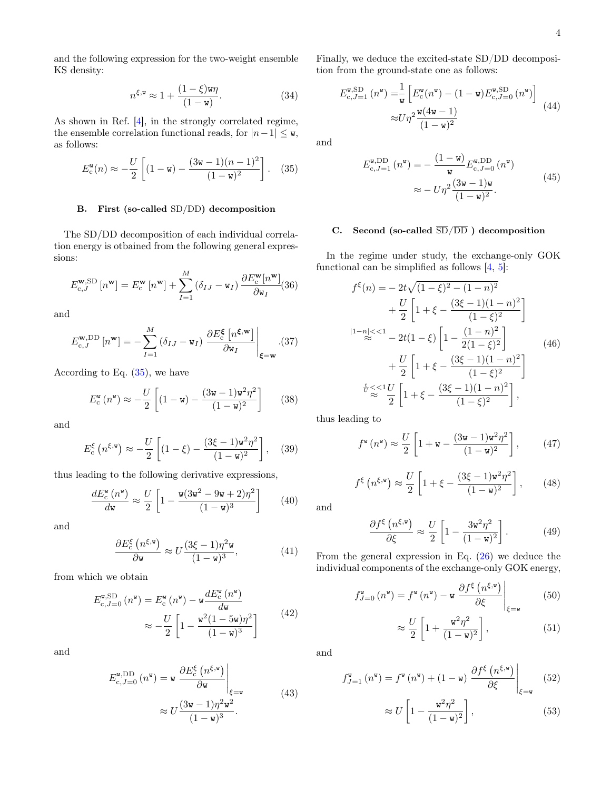and the following expression for the two-weight ensemble KS density:

$$
n^{\xi, \mathbf{w}} \approx 1 + \frac{(1 - \xi)\mathbf{w}\eta}{(1 - \mathbf{w})}.
$$
 (34)

As shown in Ref. [\[4\]](#page-5-3), in the strongly correlated regime, the ensemble correlation functional reads, for  $|n-1| \leq w$ , as follows:

<span id="page-3-0"></span>
$$
E_c^{\mathbf{w}}(n) \approx -\frac{U}{2} \left[ (1 - \mathbf{w}) - \frac{(3\mathbf{w} - 1)(n - 1)^2}{(1 - \mathbf{w})^2} \right]. \quad (35)
$$

# B. First (so-called SD/DD) decomposition

The SD/DD decomposition of each individual correlation energy is otbained from the following general expressions:

$$
E_{\rm c, J}^{\mathbf{w},\rm SD}\left[n^{\mathbf{w}}\right] = E_{\rm c}^{\mathbf{w}}\left[n^{\mathbf{w}}\right] + \sum_{I=1}^{M} \left(\delta_{IJ} - \mathbf{w}_{I}\right) \frac{\partial E_{\rm c}^{\mathbf{w}}\left[n^{\mathbf{w}}\right]}{\partial \mathbf{w}_{I}}(36)
$$

and

$$
E_{\text{c},J}^{\mathbf{w},\text{DD}}\left[n^{\mathbf{w}}\right] = -\sum_{I=1}^{M} \left(\delta_{IJ} - \mathbf{w}_I\right) \left.\frac{\partial E_{\text{c}}^{\xi}\left[n^{\xi,\mathbf{w}}\right]}{\partial \mathbf{w}_I}\right|_{\xi=\mathbf{w}}.\text{(37)}
$$

According to Eq.  $(35)$ , we have

$$
E_{\rm c}^{\rm w} (n^{\rm w}) \approx -\frac{U}{2} \left[ (1 - \text{w}) - \frac{(3\text{w} - 1)\text{w}^2 \eta^2}{(1 - \text{w})^2} \right] \tag{38}
$$

and

$$
E_c^{\xi} (n^{\xi, \mathbf{w}}) \approx -\frac{U}{2} \left[ (1 - \xi) - \frac{(3\xi - 1)\mathbf{w}^2 \eta^2}{(1 - \mathbf{w})^2} \right], \quad (39)
$$

thus leading to the following derivative expressions,

$$
\frac{dE_c^{\mathbf{w}}(n^{\mathbf{w}})}{d\mathbf{w}} \approx \frac{U}{2} \left[ 1 - \frac{\mathbf{w}(3\mathbf{w}^2 - 9\mathbf{w} + 2)\eta^2}{(1 - \mathbf{w})^3} \right] \tag{40}
$$

and

$$
\frac{\partial E_{\rm c}^{\xi} \left( n^{\xi, \mathbf{w}} \right)}{\partial \mathbf{w}} \approx U \frac{(3\xi - 1)\eta^2 \mathbf{w}}{(1 - \mathbf{w})^3},\tag{41}
$$

from which we obtain

$$
E_{\rm c,J=0}^{\rm w,SD} (n^{\rm w}) = E_{\rm c}^{\rm w} (n^{\rm w}) - {\rm w} \frac{dE_{\rm c}^{\rm w} (n^{\rm w})}{d{\rm w}}
$$

$$
\approx -\frac{U}{2} \left[ 1 - \frac{{\rm w}^2 (1 - 5{\rm w}) \eta^2}{(1 - {\rm w})^3} \right]
$$
(42)

and

$$
E_{c,J=0}^{\mathbf{w},\text{DD}}(n^{\mathbf{w}}) = \mathbf{w} \left. \frac{\partial E_c^{\xi}(n^{\xi,\mathbf{w}})}{\partial \mathbf{w}} \right|_{\xi=\mathbf{w}}
$$
  

$$
\approx U \frac{(3\mathbf{w}-1)\eta^2 \mathbf{w}^2}{(1-\mathbf{w})^3}.
$$
 (43)

Finally, we deduce the excited-state SD/DD decomposition from the ground-state one as follows:

$$
E_{c,J=1}^{\mathbf{w},\text{SD}}(n^{\mathbf{v}}) = \frac{1}{\mathbf{w}} \left[ E_c^{\mathbf{w}}(n^{\mathbf{w}}) - (1 - \mathbf{w}) E_{c,J=0}^{\mathbf{w},\text{SD}}(n^{\mathbf{w}}) \right]
$$
  

$$
\approx U \eta^2 \frac{\mathbf{w}(4\mathbf{w} - 1)}{(1 - \mathbf{w})^2}
$$
(44)

and

$$
E_{c,J=1}^{\mathbf{w},\text{DD}}(n^{\mathbf{w}}) = -\frac{(1-\mathbf{w})}{\mathbf{w}} E_{c,J=0}^{\mathbf{w},\text{DD}}(n^{\mathbf{w}})
$$
  

$$
\approx -U\eta^2 \frac{(3\mathbf{w}-1)\mathbf{w}}{(1-\mathbf{w})^2}.
$$
 (45)

# C. Second (so-called  $\overline{\text{SD}}/\overline{\text{DD}}$  ) decomposition

In the regime under study, the exchange-only GOK functional can be simplified as follows  $[4, 5]$  $[4, 5]$  $[4, 5]$ :

<span id="page-3-1"></span>
$$
f^{\xi}(n) = -2t\sqrt{(1-\xi)^2 - (1-n)^2} + \frac{U}{2} \left[ 1 + \xi - \frac{(3\xi - 1)(1-n)^2}{(1-\xi)^2} \right] \n= \frac{|1-n| < 1}{2} - 2t(1-\xi) \left[ 1 - \frac{(1-n)^2}{2(1-\xi)^2} \right] + \frac{U}{2} \left[ 1 + \xi - \frac{(3\xi - 1)(1-n)^2}{(1-\xi)^2} \right] \n= \frac{t}{\sqrt{2}} \left[ 1 + \xi - \frac{(3\xi - 1)(1-n)^2}{(1-\xi)^2} \right],
$$

thus leading to

$$
f^{\mathbf{w}}(n^{\mathbf{w}}) \approx \frac{U}{2} \left[ 1 + \mathbf{w} - \frac{(3\mathbf{w} - 1)\mathbf{w}^2 \eta^2}{(1 - \mathbf{w})^2} \right],\tag{47}
$$

$$
f^{\xi}(n^{\xi,\mathbf{w}}) \approx \frac{U}{2} \left[ 1 + \xi - \frac{(3\xi - 1)\mathbf{w}^2 \eta^2}{(1 - \mathbf{w})^2} \right],\qquad(48)
$$

and

$$
\frac{\partial f^{\xi}\left(n^{\xi,\mathbf{w}}\right)}{\partial \xi} \approx \frac{U}{2} \left[1 - \frac{3\mathbf{w}^2 \eta^2}{(1-\mathbf{w})^2}\right].\tag{49}
$$

From the general expression in Eq. [\(26\)](#page-2-3) we deduce the individual components of the exchange-only GOK energy,

<span id="page-3-2"></span>
$$
f_{J=0}^{\mathbf{w}}\left(n^{\mathbf{w}}\right) = f^{\mathbf{w}}\left(n^{\mathbf{w}}\right) - \mathbf{w}\left.\frac{\partial f^{\xi}\left(n^{\xi,\mathbf{w}}\right)}{\partial \xi}\right|_{\xi=\mathbf{w}}\tag{50}
$$

$$
\approx \frac{U}{2} \left[ 1 + \frac{\mathbf{w}^2 \eta^2}{(1 - \mathbf{w})^2} \right],\tag{51}
$$

and

<span id="page-3-3"></span>
$$
f_{J=1}^{\mathbf{w}}\left(n^{\mathbf{w}}\right) = f^{\mathbf{w}}\left(n^{\mathbf{w}}\right) + \left(1 - \mathbf{w}\right) \left.\frac{\partial f^{\xi}\left(n^{\xi, \mathbf{w}}\right)}{\partial \xi}\right|_{\xi = \mathbf{w}}\tag{52}
$$

$$
\approx U \left[ 1 - \frac{\mathbf{w}^2 \eta^2}{(1 - \mathbf{w})^2} \right],\tag{53}
$$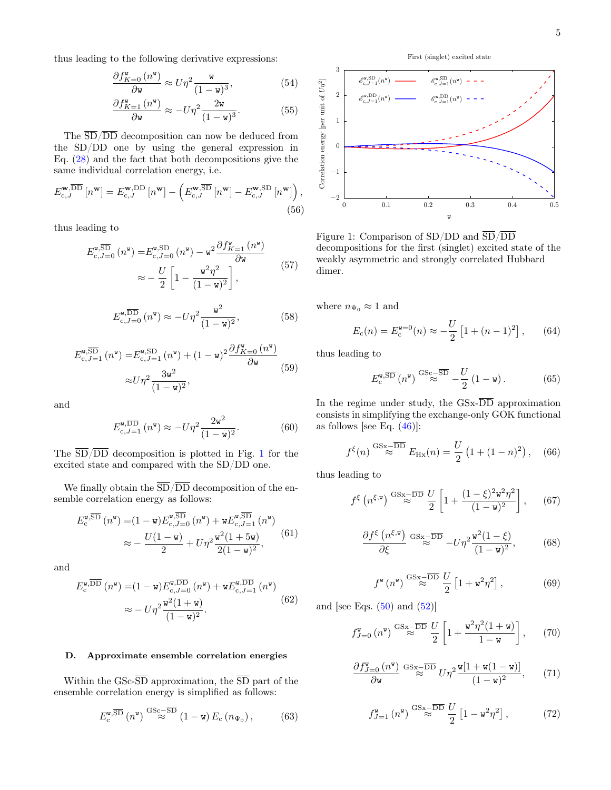thus leading to the following derivative expressions:

$$
\frac{\partial f_{K=0}^{\mathtt{w}}\left(n^{\mathtt{w}}\right)}{\partial \mathtt{w}} \approx U\eta^2 \frac{\mathtt{w}}{(1-\mathtt{w})^3},\tag{54}
$$

$$
\frac{\partial f_{K=1}^{\mathtt{w}}\left(n^{\mathtt{w}}\right)}{\partial \mathtt{w}} \approx -U\eta^2 \frac{2\mathtt{w}}{(1-\mathtt{w})^3}.\tag{55}
$$

The  $\overline{SD}/\overline{DD}$  decomposition can now be deduced from the SD/DD one by using the general expression in Eq. [\(28\)](#page-2-5) and the fact that both decompositions give the same individual correlation energy, i.e.

$$
E_{\mathrm{c},J}^{\mathbf{w},\overline{\mathrm{DD}}}\left[n^{\mathbf{w}}\right] = E_{\mathrm{c},J}^{\mathbf{w},\mathrm{DD}}\left[n^{\mathbf{w}}\right] - \left(E_{\mathrm{c},J}^{\mathbf{w},\overline{\mathrm{SD}}}\left[n^{\mathbf{w}}\right] - E_{\mathrm{c},J}^{\mathbf{w},\mathrm{SD}}\left[n^{\mathbf{w}}\right]\right),\tag{56}
$$

thus leading to

$$
E_{\text{c},J=0}^{\text{w},\overline{\text{SD}}}(n^{\text{w}}) = E_{\text{c},J=0}^{\text{w},\text{SD}}(n^{\text{w}}) - \mathbf{w}^{2} \frac{\partial f_{K=1}^{\text{w}}(n^{\text{w}})}{\partial \mathbf{w}}
$$

$$
\approx -\frac{U}{2} \left[ 1 - \frac{\mathbf{w}^{2} \eta^{2}}{(1 - \mathbf{w})^{2}} \right],
$$
(57)

$$
E_{\rm c, J=0}^{\rm w, \overline{DD}}\left(n^{\rm w}\right) \approx -U\eta^2 \frac{{\rm w}^2}{(1-\rm w)^2},\tag{58}
$$

$$
E_{\text{c},J=1}^{\text{w},\overline{\text{SD}}}\left(n^{\text{w}}\right) = E_{\text{c},J=1}^{\text{w},\text{SD}}\left(n^{\text{w}}\right) + (1-\text{w})^2 \frac{\partial f_{K=0}^{\text{w}}\left(n^{\text{w}}\right)}{\partial \text{w}}
$$

$$
\approx U\eta^2 \frac{3\text{w}^2}{(1-\text{w})^2},\tag{59}
$$

and

$$
E_{\text{c},J=1}^{\text{w},\overline{\text{DD}}}\left(n^{\text{w}}\right) \approx -U\eta^2 \frac{2\text{w}^2}{(1-\text{w})^2}.\tag{60}
$$

The  $\overline{SD}/\overline{DD}$  decomposition is plotted in Fig. [1](#page-4-1) for the excited state and compared with the SD/DD one.

We finally obtain the  $\overline{SD}/\overline{DD}$  decomposition of the ensemble correlation energy as follows:

<span id="page-4-2"></span>
$$
E_c^{\mathbf{w},\overline{\text{SD}}}(n^{\mathbf{w}}) = (1 - \mathbf{w}) E_{c,J=0}^{\mathbf{w},\overline{\text{SD}}}(n^{\mathbf{w}}) + \mathbf{w} E_{c,J=1}^{\mathbf{w},\overline{\text{SD}}}(n^{\mathbf{w}})
$$
  

$$
\approx -\frac{U(1 - \mathbf{w})}{2} + U\eta^2 \frac{\mathbf{w}^2 (1 + 5\mathbf{w})}{2(1 - \mathbf{w})^2},
$$
(61)

and

<span id="page-4-3"></span>
$$
E_c^{\mathbf{w},\overline{\text{DD}}}(n^{\mathbf{w}}) = (1-\mathbf{w})E_{c,J=0}^{\mathbf{w},\overline{\text{DD}}}(n^{\mathbf{w}}) + \mathbf{w}E_{c,J=1}^{\mathbf{w},\overline{\text{DD}}}(n^{\mathbf{w}})
$$
  

$$
\approx -U\eta^2 \frac{\mathbf{w}^2(1+\mathbf{w})}{(1-\mathbf{w})^2}.
$$
 (62)

#### D. Approximate ensemble correlation energies

Within the  $GSc-\overline{SD}$  approximation, the  $\overline{SD}$  part of the ensemble correlation energy is simplified as follows:

$$
E_{\rm c}^{\rm w, \overline{SD}}\left(n^{\rm w}\right) \stackrel{\rm GSc-\overline{SD}}{\approx} (1-\text{w}) E_{\rm c}\left(n_{\Psi_0}\right),\tag{63}
$$

<span id="page-4-1"></span>

Figure 1: Comparison of  $SD/DD$  and  $\overline{SD}/\overline{DD}$ decompositions for the first (singlet) excited state of the weakly asymmetric and strongly correlated Hubbard dimer.

where  $n_{\Psi_0} \approx 1$  and

$$
E_{\rm c}(n) = E_{\rm c}^{\rm w=0}(n) \approx -\frac{U}{2} \left[ 1 + (n-1)^2 \right], \qquad (64)
$$

thus leading to

$$
E_c^{\mathbf{w},\overline{\text{SD}}}\left(n^{\mathbf{w}}\right) \stackrel{\text{GSc}-\overline{\text{SD}}}{\approx} -\frac{U}{2}\left(1-\mathbf{w}\right). \tag{65}
$$

In the regime under study, the  $GSx-\overline{DD}$  approximation consists in simplifying the exchange-only GOK functional as follows [see Eq.  $(46)$ ]:

$$
f^{\xi}(n) \stackrel{\text{GSx} - \overline{\text{DD}}}{\approx} E_{\text{Hx}}(n) = \frac{U}{2} \left( 1 + (1 - n)^2 \right), \quad (66)
$$

thus leading to

$$
f^{\xi}(n^{\xi,\mathbf{w}}) \stackrel{\text{GSx}-\overline{\text{DD}}}{\approx} \frac{U}{2} \left[ 1 + \frac{(1-\xi)^2 \mathbf{w}^2 \eta^2}{(1-\mathbf{w})^2} \right],
$$
 (67)

<span id="page-4-0"></span>
$$
\frac{\partial f^{\xi}\left(n^{\xi,\mathbf{w}}\right)}{\partial \xi} \, \mathbf{G} \mathbf{S} \mathbf{x} \approx \mathbf{D} \mathbf{D} - U \eta^2 \frac{\mathbf{w}^2 (1 - \xi)}{(1 - \mathbf{w})^2},\tag{68}
$$

$$
f^{\mathbf{w}}\left(n^{\mathbf{w}}\right) \stackrel{\text{GSx}-\overline{\text{DD}}}{\approx} \frac{U}{2}\left[1+\mathbf{w}^{2}\eta^{2}\right],\tag{69}
$$

and [see Eqs.  $(50)$  and  $(52)$ ]

$$
f_{J=0}^{\mathrm{w}}\left(n^{\mathrm{w}}\right) \stackrel{\mathrm{GSx}-\overline{\mathrm{DD}}}{\approx} \frac{U}{2}\left[1+\frac{\mathrm{w}^{2}\eta^{2}(1+\mathrm{w})}{1-\mathrm{w}}\right],\qquad(70)
$$

$$
\frac{\partial f_{J=0}^{\mathbf{v}}\left(n^{\mathbf{w}}\right)}{\partial \mathbf{w}} \xrightarrow{\text{GS}_{\mathbf{x}}=\overline{\text{DD}}} U\eta^2 \frac{\mathbf{w}[1+\mathbf{w}(1-\mathbf{w})]}{(1-\mathbf{w})^2},\qquad(71)
$$

$$
f_{J=1}^{\mathbf{v}}\left(n^{\mathbf{v}}\right) \stackrel{\text{GSx}-\overline{\text{DD}}}{\approx} \frac{U}{2}\left[1-\mathbf{v}^2\eta^2\right],\tag{72}
$$